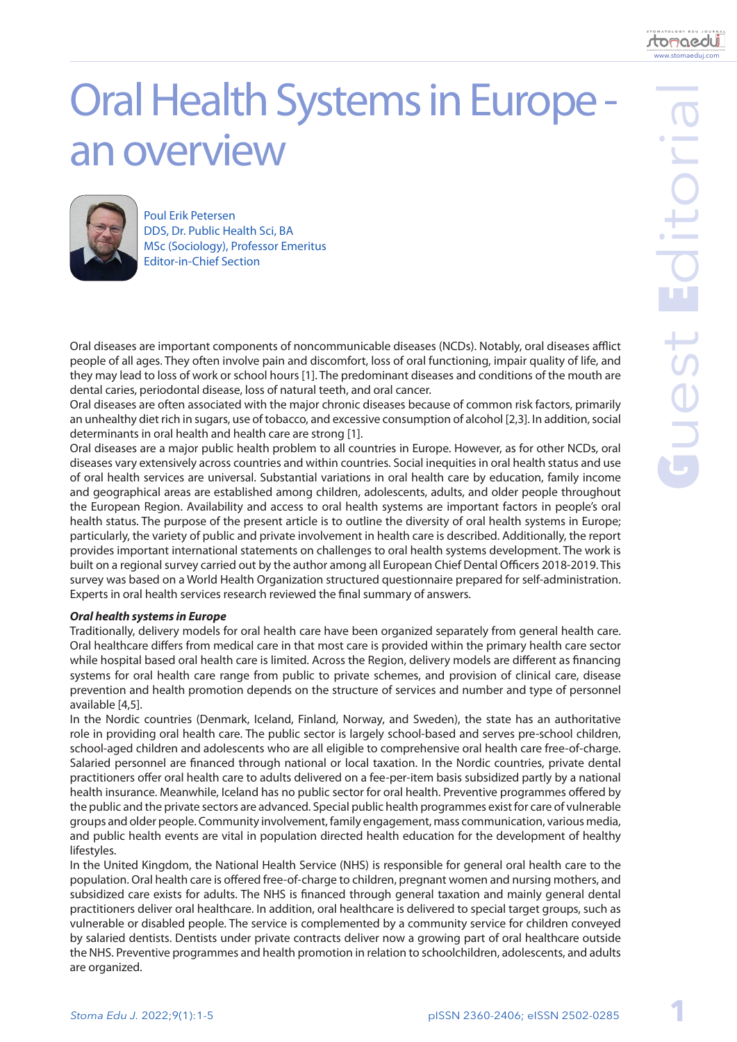**1**

www.stomaeduj.com

<u>tomaedui</u>

# Oral Health Systems in Europe an overview



Poul Erik Petersen DDS, Dr. Public Health Sci, BA MSc (Sociology), Professor Emeritus Editor-in-Chief Section

Oral diseases are important components of noncommunicable diseases (NCDs). Notably, oral diseases afflict people of all ages. They often involve pain and discomfort, loss of oral functioning, impair quality of life, and they may lead to loss of work or school hours [1]. The predominant diseases and conditions of the mouth are dental caries, periodontal disease, loss of natural teeth, and oral cancer.

Oral diseases are often associated with the major chronic diseases because of common risk factors, primarily an unhealthy diet rich in sugars, use of tobacco, and excessive consumption of alcohol [2,3]. In addition, social determinants in oral health and health care are strong [1].

Oral diseases are a major public health problem to all countries in Europe. However, as for other NCDs, oral diseases vary extensively across countries and within countries. Social inequities in oral health status and use of oral health services are universal. Substantial variations in oral health care by education, family income and geographical areas are established among children, adolescents, adults, and older people throughout the European Region. Availability and access to oral health systems are important factors in people's oral health status. The purpose of the present article is to outline the diversity of oral health systems in Europe; particularly, the variety of public and private involvement in health care is described. Additionally, the report provides important international statements on challenges to oral health systems development. The work is built on a regional survey carried out by the author among all European Chief Dental Officers 2018-2019. This survey was based on a World Health Organization structured questionnaire prepared for self-administration. Experts in oral health services research reviewed the final summary of answers.

# *Oral health systems in Europe*

Traditionally, delivery models for oral health care have been organized separately from general health care. Oral healthcare differs from medical care in that most care is provided within the primary health care sector while hospital based oral health care is limited. Across the Region, delivery models are different as financing systems for oral health care range from public to private schemes, and provision of clinical care, disease prevention and health promotion depends on the structure of services and number and type of personnel available [4,5].

In the Nordic countries (Denmark, Iceland, Finland, Norway, and Sweden), the state has an authoritative role in providing oral health care. The public sector is largely school-based and serves pre-school children, school-aged children and adolescents who are all eligible to comprehensive oral health care free-of-charge. Salaried personnel are financed through national or local taxation. In the Nordic countries, private dental practitioners offer oral health care to adults delivered on a fee-per-item basis subsidized partly by a national health insurance. Meanwhile, Iceland has no public sector for oral health. Preventive programmes offered by the public and the private sectors are advanced. Special public health programmes exist for care of vulnerable groups and older people. Community involvement, family engagement, mass communication, various media, and public health events are vital in population directed health education for the development of healthy lifestyles.

In the United Kingdom, the National Health Service (NHS) is responsible for general oral health care to the population. Oral health care is offered free-of-charge to children, pregnant women and nursing mothers, and subsidized care exists for adults. The NHS is financed through general taxation and mainly general dental practitioners deliver oral healthcare. In addition, oral healthcare is delivered to special target groups, such as vulnerable or disabled people. The service is complemented by a community service for children conveyed by salaried dentists. Dentists under private contracts deliver now a growing part of oral healthcare outside the NHS. Preventive programmes and health promotion in relation to schoolchildren, adolescents, and adults are organized.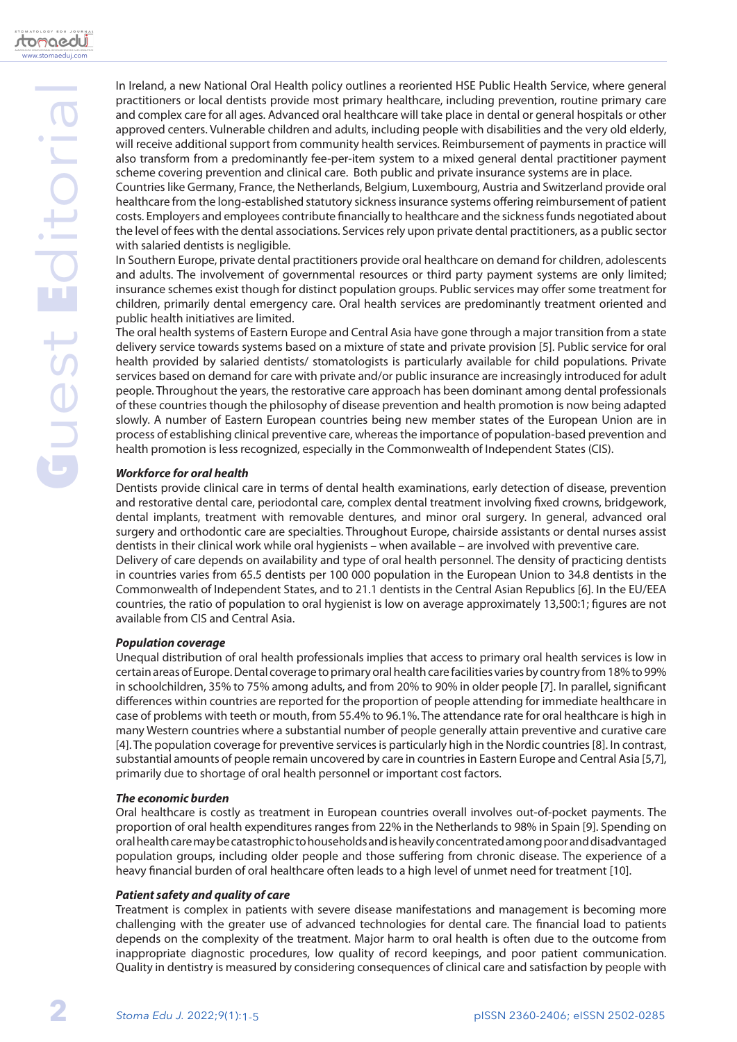Countries like Germany, France, the Netherlands, Belgium, Luxembourg, Austria and Switzerland provide oral healthcare from the long-established statutory sickness insurance systems offering reimbursement of patient costs. Employers and employees contribute financially to healthcare and the sickness funds negotiated about the level of fees with the dental associations. Services rely upon private dental practitioners, as a public sector with salaried dentists is negligible.

In Southern Europe, private dental practitioners provide oral healthcare on demand for children, adolescents and adults. The involvement of governmental resources or third party payment systems are only limited; insurance schemes exist though for distinct population groups. Public services may offer some treatment for children, primarily dental emergency care. Oral health services are predominantly treatment oriented and public health initiatives are limited.

The oral health systems of Eastern Europe and Central Asia have gone through a major transition from a state delivery service towards systems based on a mixture of state and private provision [5]. Public service for oral health provided by salaried dentists/ stomatologists is particularly available for child populations. Private services based on demand for care with private and/or public insurance are increasingly introduced for adult people. Throughout the years, the restorative care approach has been dominant among dental professionals of these countries though the philosophy of disease prevention and health promotion is now being adapted slowly. A number of Eastern European countries being new member states of the European Union are in process of establishing clinical preventive care, whereas the importance of population-based prevention and health promotion is less recognized, especially in the Commonwealth of Independent States (CIS).

# *Workforce for oral health*

Dentists provide clinical care in terms of dental health examinations, early detection of disease, prevention and restorative dental care, periodontal care, complex dental treatment involving fixed crowns, bridgework, dental implants, treatment with removable dentures, and minor oral surgery. In general, advanced oral surgery and orthodontic care are specialties. Throughout Europe, chairside assistants or dental nurses assist dentists in their clinical work while oral hygienists – when available – are involved with preventive care. Delivery of care depends on availability and type of oral health personnel. The density of practicing dentists in countries varies from 65.5 dentists per 100 000 population in the European Union to 34.8 dentists in the Commonwealth of Independent States, and to 21.1 dentists in the Central Asian Republics [6]. In the EU/EEA countries, the ratio of population to oral hygienist is low on average approximately 13,500:1; figures are not available from CIS and Central Asia.

# *Population coverage*

Unequal distribution of oral health professionals implies that access to primary oral health services is low in certain areas of Europe. Dental coverage to primary oral health care facilities varies by country from 18% to 99% in schoolchildren, 35% to 75% among adults, and from 20% to 90% in older people [7]. In parallel, significant differences within countries are reported for the proportion of people attending for immediate healthcare in case of problems with teeth or mouth, from 55.4% to 96.1%. The attendance rate for oral healthcare is high in many Western countries where a substantial number of people generally attain preventive and curative care [4]. The population coverage for preventive services is particularly high in the Nordic countries [8]. In contrast, substantial amounts of people remain uncovered by care in countries in Eastern Europe and Central Asia [5,7], primarily due to shortage of oral health personnel or important cost factors.

# *The economic burden*

Oral healthcare is costly as treatment in European countries overall involves out-of-pocket payments. The proportion of oral health expenditures ranges from 22% in the Netherlands to 98% in Spain [9]. Spending on oral health care may be catastrophic to households and is heavily concentrated among poor and disadvantaged population groups, including older people and those suffering from chronic disease. The experience of a heavy financial burden of oral healthcare often leads to a high level of unmet need for treatment [10].

# *Patient safety and quality of care*

Treatment is complex in patients with severe disease manifestations and management is becoming more challenging with the greater use of advanced technologies for dental care. The financial load to patients depends on the complexity of the treatment. Major harm to oral health is often due to the outcome from inappropriate diagnostic procedures, low quality of record keepings, and poor patient communication. Quality in dentistry is measured by considering consequences of clinical care and satisfaction by people with

**2**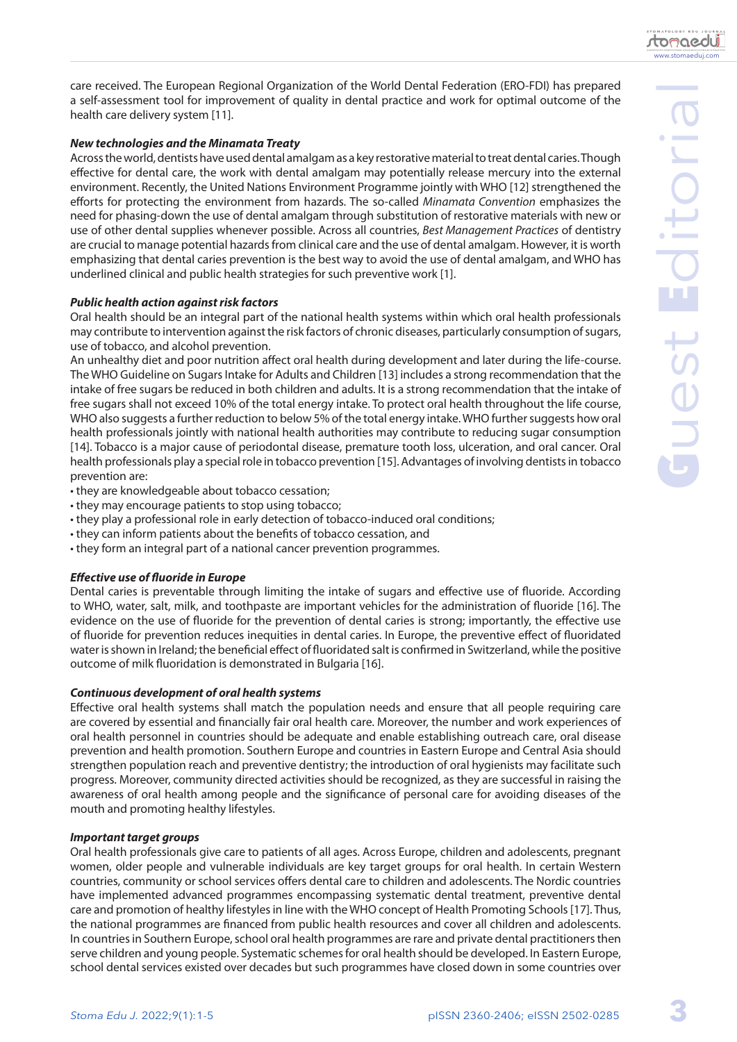www.stomaeduj.com

<u>tomaedui</u>

care received. The European Regional Organization of the World Dental Federation (ERO-FDI) has prepared a self-assessment tool for improvement of quality in dental practice and work for optimal outcome of the health care delivery system [11].

# *New technologies and the Minamata Treaty*

Across the world, dentists have used dental amalgam as a key restorative material to treat dental caries. Though effective for dental care, the work with dental amalgam may potentially release mercury into the external environment. Recently, the United Nations Environment Programme jointly with WHO [12] strengthened the efforts for protecting the environment from hazards. The so-called *Minamata Convention* emphasizes the need for phasing-down the use of dental amalgam through substitution of restorative materials with new or use of other dental supplies whenever possible. Across all countries, *Best Management Practices* of dentistry are crucial to manage potential hazards from clinical care and the use of dental amalgam. However, it is worth emphasizing that dental caries prevention is the best way to avoid the use of dental amalgam, and WHO has underlined clinical and public health strategies for such preventive work [1].

## *Public health action against risk factors*

Oral health should be an integral part of the national health systems within which oral health professionals may contribute to intervention against the risk factors of chronic diseases, particularly consumption of sugars, use of tobacco, and alcohol prevention.

An unhealthy diet and poor nutrition affect oral health during development and later during the life-course. The WHO Guideline on Sugars Intake for Adults and Children [13] includes a strong recommendation that the intake of free sugars be reduced in both children and adults. It is a strong recommendation that the intake of free sugars shall not exceed 10% of the total energy intake. To protect oral health throughout the life course, WHO also suggests a further reduction to below 5% of the total energy intake. WHO further suggests how oral health professionals jointly with national health authorities may contribute to reducing sugar consumption [14]. Tobacco is a major cause of periodontal disease, premature tooth loss, ulceration, and oral cancer. Oral health professionals play a special role in tobacco prevention [15]. Advantages of involving dentists in tobacco prevention are:

- they are knowledgeable about tobacco cessation;
- they may encourage patients to stop using tobacco;
- they play a professional role in early detection of tobacco-induced oral conditions;
- they can inform patients about the benefits of tobacco cessation, and
- they form an integral part of a national cancer prevention programmes.

## *Effective use of fluoride in Europe*

Dental caries is preventable through limiting the intake of sugars and effective use of fluoride. According to WHO, water, salt, milk, and toothpaste are important vehicles for the administration of fluoride [16]. The evidence on the use of fluoride for the prevention of dental caries is strong; importantly, the effective use of fluoride for prevention reduces inequities in dental caries. In Europe, the preventive effect of fluoridated water is shown in Ireland; the beneficial effect of fluoridated salt is confirmed in Switzerland, while the positive outcome of milk fluoridation is demonstrated in Bulgaria [16].

## *Continuous development of oral health systems*

Effective oral health systems shall match the population needs and ensure that all people requiring care are covered by essential and financially fair oral health care. Moreover, the number and work experiences of oral health personnel in countries should be adequate and enable establishing outreach care, oral disease prevention and health promotion. Southern Europe and countries in Eastern Europe and Central Asia should strengthen population reach and preventive dentistry; the introduction of oral hygienists may facilitate such progress. Moreover, community directed activities should be recognized, as they are successful in raising the awareness of oral health among people and the significance of personal care for avoiding diseases of the mouth and promoting healthy lifestyles.

## *Important target groups*

Oral health professionals give care to patients of all ages. Across Europe, children and adolescents, pregnant women, older people and vulnerable individuals are key target groups for oral health. In certain Western countries, community or school services offers dental care to children and adolescents. The Nordic countries have implemented advanced programmes encompassing systematic dental treatment, preventive dental care and promotion of healthy lifestyles in line with the WHO concept of Health Promoting Schools [17]. Thus, the national programmes are financed from public health resources and cover all children and adolescents. In countries in Southern Europe, school oral health programmes are rare and private dental practitioners then serve children and young people. Systematic schemes for oral health should be developed. In Eastern Europe, school dental services existed over decades but such programmes have closed down in some countries over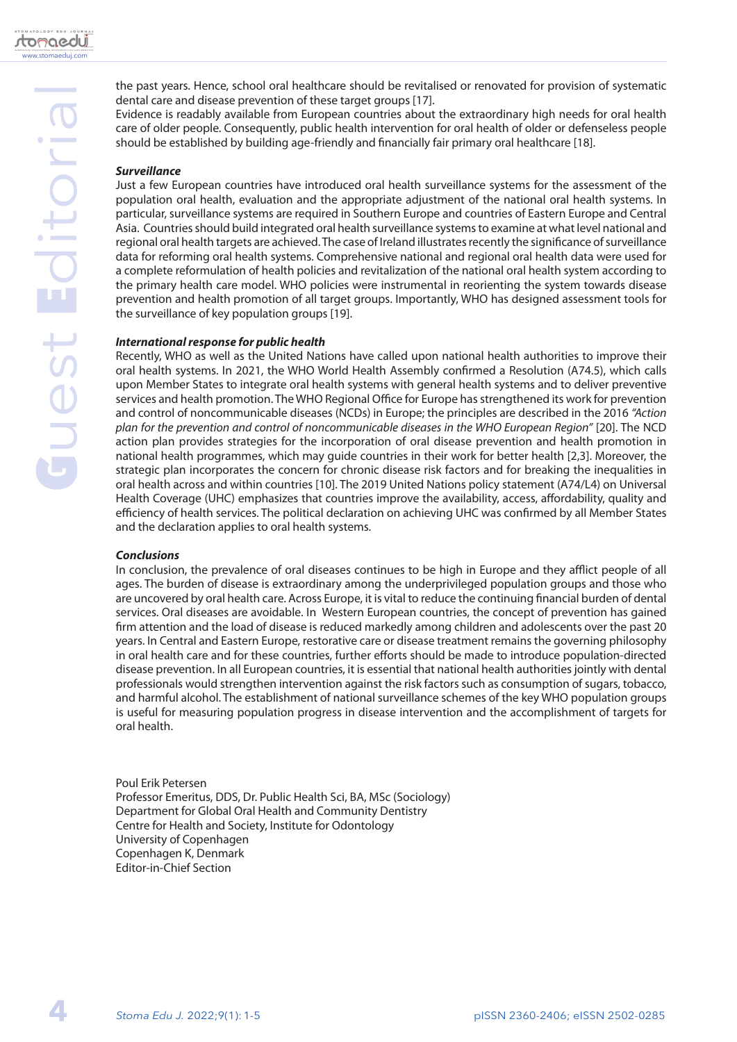

Evidence is readably available from European countries about the extraordinary high needs for oral health care of older people. Consequently, public health intervention for oral health of older or defenseless people should be established by building age-friendly and financially fair primary oral healthcare [18].

# *Surveillance*

Just a few European countries have introduced oral health surveillance systems for the assessment of the population oral health, evaluation and the appropriate adjustment of the national oral health systems. In particular, surveillance systems are required in Southern Europe and countries of Eastern Europe and Central Asia. Countries should build integrated oral health surveillance systems to examine at what level national and regional oral health targets are achieved. The case of Ireland illustrates recently the significance of surveillance data for reforming oral health systems. Comprehensive national and regional oral health data were used for a complete reformulation of health policies and revitalization of the national oral health system according to the primary health care model. WHO policies were instrumental in reorienting the system towards disease prevention and health promotion of all target groups. Importantly, WHO has designed assessment tools for the surveillance of key population groups [19].

## *International response for public health*

Recently, WHO as well as the United Nations have called upon national health authorities to improve their oral health systems. In 2021, the WHO World Health Assembly confirmed a Resolution (A74.5), which calls upon Member States to integrate oral health systems with general health systems and to deliver preventive services and health promotion. The WHO Regional Office for Europe has strengthened its work for prevention and control of noncommunicable diseases (NCDs) in Europe; the principles are described in the 2016 *"Action plan for the prevention and control of noncommunicable diseases in the WHO European Region"* [20]. The NCD action plan provides strategies for the incorporation of oral disease prevention and health promotion in national health programmes, which may guide countries in their work for better health [2,3]. Moreover, the strategic plan incorporates the concern for chronic disease risk factors and for breaking the inequalities in oral health across and within countries [10]. The 2019 United Nations policy statement (A74/L4) on Universal Health Coverage (UHC) emphasizes that countries improve the availability, access, affordability, quality and efficiency of health services. The political declaration on achieving UHC was confirmed by all Member States and the declaration applies to oral health systems.

## *Conclusions*

In conclusion, the prevalence of oral diseases continues to be high in Europe and they afflict people of all ages. The burden of disease is extraordinary among the underprivileged population groups and those who are uncovered by oral health care. Across Europe, it is vital to reduce the continuing financial burden of dental services. Oral diseases are avoidable. In Western European countries, the concept of prevention has gained firm attention and the load of disease is reduced markedly among children and adolescents over the past 20 years. In Central and Eastern Europe, restorative care or disease treatment remains the governing philosophy in oral health care and for these countries, further efforts should be made to introduce population-directed disease prevention. In all European countries, it is essential that national health authorities jointly with dental professionals would strengthen intervention against the risk factors such as consumption of sugars, tobacco, and harmful alcohol. The establishment of national surveillance schemes of the key WHO population groups is useful for measuring population progress in disease intervention and the accomplishment of targets for oral health.

Poul Erik Petersen Professor Emeritus, DDS, Dr. Public Health Sci, BA, MSc (Sociology) Department for Global Oral Health and Community Dentistry Centre for Health and Society, Institute for Odontology University of Copenhagen Copenhagen K, Denmark Editor-in-Chief Section

**4**